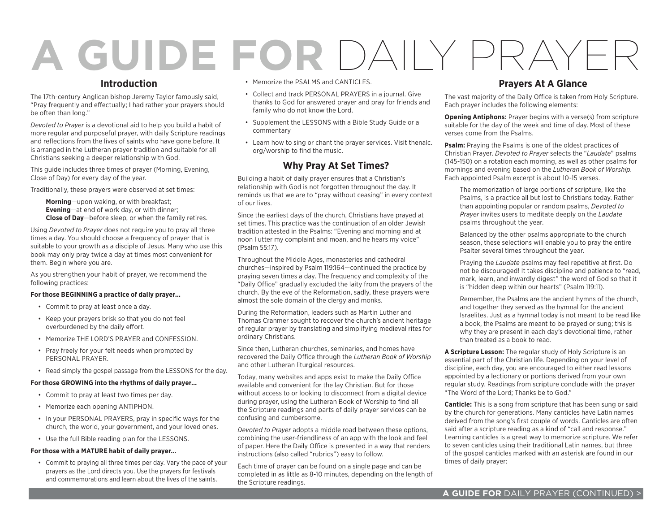# **A GUIDE FOR** DAILY PRAYER

## **Introduction**

The 17th-century Anglican bishop Jeremy Taylor famously said, "Pray frequently and effectually; I had rather your prayers should be often than long."

*Devoted to Prayer* is a devotional aid to help you build a habit of more regular and purposeful prayer, with daily Scripture readings and reflections from the lives of saints who have gone before. It is arranged in the Lutheran prayer tradition and suitable for all Christians seeking a deeper relationship with God.

This guide includes three times of prayer (Morning, Evening, Close of Day) for every day of the year.

Traditionally, these prayers were observed at set times:

**Morning**—upon waking, or with breakfast; **Evening**—at end of work day, or with dinner; **Close of Day**—before sleep, or when the family retires.

Using *Devoted to Prayer* does not require you to pray all three times a day. You should choose a frequency of prayer that is suitable to your growth as a disciple of Jesus. Many who use this book may only pray twice a day at times most convenient for them. Begin where you are.

As you strengthen your habit of prayer, we recommend the following practices:

#### **For those BEGINNING a practice of daily prayer…**

- Commit to pray at least once a day.
- Keep your prayers brisk so that you do not feel overburdened by the daily effort.
- Memorize THE LORD'S PRAYER and CONFESSION.
- Pray freely for your felt needs when prompted by PERSONAL PRAYER.
- Read simply the gospel passage from the LESSONS for the day.

#### **For those GROWING into the rhythms of daily prayer…**

- Commit to pray at least two times per day.
- Memorize each opening ANTIPHON.
- In your PERSONAL PRAYERS, pray in specific ways for the church, the world, your government, and your loved ones.
- Use the full Bible reading plan for the LESSONS.

#### **For those with a MATURE habit of daily prayer…**

• Commit to praying all three times per day. Vary the pace of your prayers as the Lord directs you. Use the prayers for festivals and commemorations and learn about the lives of the saints.

- Memorize the PSALMS and CANTICLES.
- Collect and track PERSONAL PRAYERS in a journal. Give thanks to God for answered prayer and pray for friends and family who do not know the Lord.
- Supplement the LESSONS with a Bible Study Guide or a commentary
- Learn how to sing or chant the prayer services. Visit thenalc. org/worship to find the music.

## **Why Pray At Set Times?**

Building a habit of daily prayer ensures that a Christian's relationship with God is not forgotten throughout the day. It reminds us that we are to "pray without ceasing" in every context of our lives.

Since the earliest days of the church, Christians have prayed at set times. This practice was the continuation of an older Jewish tradition attested in the Psalms: "Evening and morning and at noon I utter my complaint and moan, and he hears my voice" (Psalm 55:17).

Throughout the Middle Ages, monasteries and cathedral churches—inspired by Psalm 119:164—continued the practice by praying seven times a day. The frequency and complexity of the "Daily Office" gradually excluded the laity from the prayers of the church. By the eve of the Reformation, sadly, these prayers were almost the sole domain of the clergy and monks.

During the Reformation, leaders such as Martin Luther and Thomas Cranmer sought to recover the church's ancient heritage of regular prayer by translating and simplifying medieval rites for ordinary Christians.

Since then, Lutheran churches, seminaries, and homes have recovered the Daily Office through the *Lutheran Book of Worship* and other Lutheran liturgical resources.

Today, many websites and apps exist to make the Daily Office available and convenient for the lay Christian. But for those without access to or looking to disconnect from a digital device during prayer, using the Lutheran Book of Worship to find all the Scripture readings and parts of daily prayer services can be confusing and cumbersome.

*Devoted to Prayer* adopts a middle road between these options, combining the user-friendliness of an app with the look and feel of paper. Here the Daily Office is presented in a way that renders instructions (also called "rubrics") easy to follow.

Each time of prayer can be found on a single page and can be completed in as little as 8-10 minutes, depending on the length of the Scripture readings.

## **Prayers At A Glance**

The vast majority of the Daily Office is taken from Holy Scripture. Each prayer includes the following elements:

**Opening Antiphons:** Prayer begins with a verse(s) from scripture suitable for the day of the week and time of day. Most of these verses come from the Psalms.

**Psalm:** Praying the Psalms is one of the oldest practices of Christian Prayer. *Devoted to Prayer* selects the "*Laudate*" psalms (145-150) on a rotation each morning, as well as other psalms for mornings and evening based on the *Lutheran Book of Worship*. Each appointed Psalm excerpt is about 10-15 verses.

The memorization of large portions of scripture, like the Psalms, is a practice all but lost to Christians today. Rather than appointing popular or random psalms, *Devoted to Prayer* invites users to meditate deeply on the *Laudate* psalms throughout the year.

Balanced by the other psalms appropriate to the church season, these selections will enable you to pray the entire Psalter several times throughout the year.

Praying the *Laudate* psalms may feel repetitive at first. Do not be discouraged! It takes discipline and patience to "read, mark, learn, and inwardly digest" the word of God so that it is "hidden deep within our hearts" (Psalm 119:11).

Remember, the Psalms are the ancient hymns of the church, and together they served as the hymnal for the ancient Israelites. Just as a hymnal today is not meant to be read like a book, the Psalms are meant to be prayed or sung; this is why they are present in each day's devotional time, rather than treated as a book to read.

**A Scripture Lesson:** The regular study of Holy Scripture is an essential part of the Christian life. Depending on your level of discipline, each day, you are encouraged to either read lessons appointed by a lectionary or portions derived from your own regular study. Readings from scripture conclude with the prayer "The Word of the Lord; Thanks be to God."

**Canticle:** This is a song from scripture that has been sung or said by the church for generations. Many canticles have Latin names derived from the song's first couple of words. Canticles are often said after a scripture reading as a kind of "call and response." Learning canticles is a great way to memorize scripture. We refer to seven canticles using their traditional Latin names, but three of the gospel canticles marked with an asterisk are found in our times of daily prayer: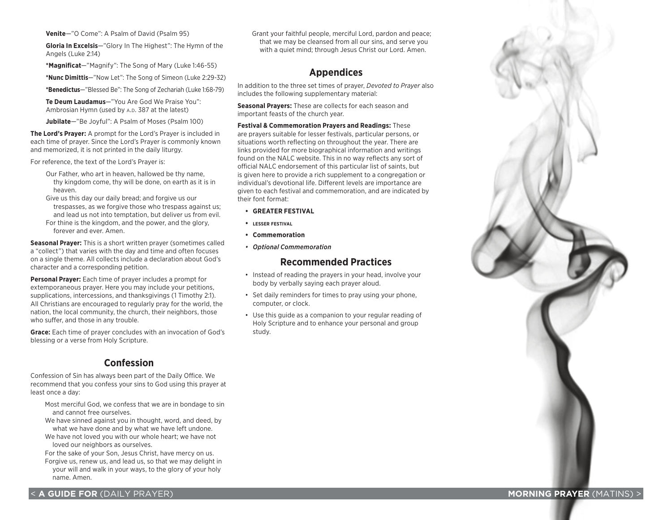**Venite**—"O Come": A Psalm of David (Psalm 95)

**Gloria In Excelsis**—"Glory In The Highest": The Hymn of the Angels (Luke 2:14)

**\*Magnificat**—"Magnify": The Song of Mary (Luke 1:46-55)

**\*Nunc Dimittis**—"Now Let": The Song of Simeon (Luke 2:29-32)

**\*Benedictus**—"Blessed Be": The Song of Zechariah (Luke 1:68-79)

**Te Deum Laudamus**—"You Are God We Praise You": Ambrosian Hymn (used by A.D. 387 at the latest)

**Jubilate**—"Be Joyful": A Psalm of Moses (Psalm 100)

**The Lord's Prayer:** A prompt for the Lord's Prayer is included in each time of prayer. Since the Lord's Prayer is commonly known and memorized, it is not printed in the daily liturgy.

For reference, the text of the Lord's Prayer is:

Our Father, who art in heaven, hallowed be thy name, thy kingdom come, thy will be done, on earth as it is in heaven.

Give us this day our daily bread; and forgive us our trespasses, as we forgive those who trespass against us; and lead us not into temptation, but deliver us from evil. For thine is the kingdom, and the power, and the glory, forever and ever. Amen.

**Seasonal Prayer:** This is a short written prayer (sometimes called a "collect") that varies with the day and time and often focuses on a single theme. All collects include a declaration about God's character and a corresponding petition.

**Personal Prayer:** Each time of prayer includes a prompt for extemporaneous prayer. Here you may include your petitions, supplications, intercessions, and thanksgivings (1 Timothy 2:1). All Christians are encouraged to regularly pray for the world, the nation, the local community, the church, their neighbors, those who suffer, and those in any trouble.

**Grace:** Each time of prayer concludes with an invocation of God's blessing or a verse from Holy Scripture.

## **Confession**

Confession of Sin has always been part of the Daily Office. We recommend that you confess your sins to God using this prayer at least once a day:

- Most merciful God, we confess that we are in bondage to sin and cannot free ourselves.
- We have sinned against you in thought, word, and deed, by what we have done and by what we have left undone.
- We have not loved you with our whole heart; we have not loved our neighbors as ourselves.

For the sake of your Son, Jesus Christ, have mercy on us. Forgive us, renew us, and lead us, so that we may delight in your will and walk in your ways, to the glory of your holy name. Amen.

Grant your faithful people, merciful Lord, pardon and peace; that we may be cleansed from all our sins, and serve you with a quiet mind; through Jesus Christ our Lord. Amen.

## **Appendices**

In addition to the three set times of prayer, *Devoted to Prayer* also includes the following supplementary material:

**Seasonal Prayers:** These are collects for each season and important feasts of the church year.

**Festival & Commemoration Prayers and Readings:** These are prayers suitable for lesser festivals, particular persons, or situations worth reflecting on throughout the year. There are links provided for more biographical information and writings found on the NALC website. This in no way reflects any sort of official NALC endorsement of this particular list of saints, but is given here to provide a rich supplement to a congregation or individual's devotional life. Different levels are importance are given to each festival and commemoration, and are indicated by their font format:

- **• GREATER FESTIVAL**
- **• lesser festival**
- **• Commemoration**
- *• Optional Commemoration*

### **Recommended Practices**

- Instead of reading the prayers in your head, involve your body by verbally saying each prayer aloud.
- Set daily reminders for times to pray using your phone, computer, or clock.
- Use this guide as a companion to your regular reading of Holy Scripture and to enhance your personal and group study.

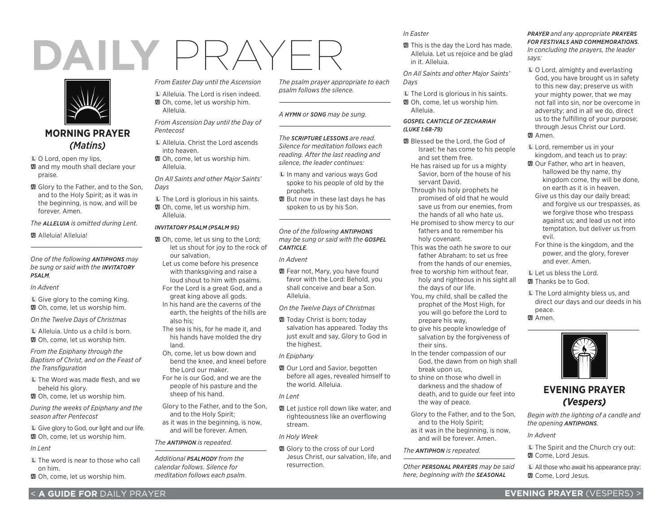# **DAILY** PRAYER



## **MORNING PRAYER**  *(Matins)*

- L O Lord, open my lips, **M** and my mouth shall declare your praise.
- a Glory to the Father, and to the Son, and to the Holy Spirit; as it was in the beginning, is now, and will be forever. Amen.

*The ALLELUIA is omitted during Lent.*

**图 Alleluia! Alleluia!** 

*One of the following ANTIPHONS may be sung or said with the INVITATORY PSALM.*

——————————————————————————

#### *In Advent*

L Give glory to the coming King. **a** Oh, come, let us worship him.

*On the Twelve Days of Christmas*

L Alleluia. Unto us a child is born. a Oh, come, let us worship him.

*From the Epiphany through the Baptism of Christ, and on the Feast of the Transfiguration*

- L The Word was made flesh, and we beheld his glory.
- a Oh, come, let us worship him.

*During the weeks of Epiphany and the season after Pentecost*

L Give glory to God, our light and our life. a Oh, come, let us worship him.

#### *In Lent*

- L The word is near to those who call on him.
- a Oh, come, let us worship him.

*From Easter Day until the Ascension*

L Alleluia. The Lord is risen indeed. a Oh, come, let us worship him. Alleluia.

*From Ascension Day until the Day of Pentecost*

- L Alleluia. Christ the Lord ascends into heaven.
- a Oh, come, let us worship him. Alleluia.

*On All Saints and other Major Saints' Days*

- L The Lord is glorious in his saints. **a** Oh, come, let us worship him.
- Alleluia.

#### *INVITATORY PSALM (PSALM 95)*

- **图 Oh, come, let us sing to the Lord;** let us shout for joy to the rock of our salvation.
- Let us come before his presence with thanksgiving and raise a loud shout to him with psalms. For the Lord is a great God, and a
- great king above all gods. In his hand are the caverns of the
- earth, the heights of the hills are also his;
- The sea is his, for he made it, and his hands have molded the dry land.
- Oh, come, let us bow down and bend the knee, and kneel before the Lord our maker.
- For he is our God, and we are the people of his pasture and the sheep of his hand.
- Glory to the Father, and to the Son, and to the Holy Spirit;
- as it was in the beginning, is now, and will be forever. Amen.

#### *The ANTIPHON is repeated.*

—————————————————————————— *Additional PSALMODY from the calendar follows. Silence for meditation follows each psalm.*

*The psalm prayer appropriate to each psalm follows the silence.* ——————————————————————————

#### *A HYMN or SONG may be sung.*

*The SCRIPTURE LESSONS are read. Silence for meditation follows each reading. After the last reading and silence, the leader continues:*

——————————————————————————

- L In many and various ways God spoke to his people of old by the prophets.
- 图 But now in these last days he has spoken to us by his Son. ——————————————————————————

*One of the following ANTIPHONS may be sung or said with the GOSPEL CANTICLE.*

- *In Advent*
- **a** Fear not, Mary, you have found favor with the Lord: Behold, you shall conceive and bear a Son. Alleluia.
- *On the Twelve Days of Christmas*
- **a** Today Christ is born; today salvation has appeared. Today ths just exult and say, Glory to God in the highest.
- *In Epiphany*
- **图 Our Lord and Savior, begotten** before all ages, revealed himself to the world. Alleluia.
- *In Lent*
- **a** Let justice roll down like water, and righteousness like an overflowing stream.
- *In Holy Week*
- **图 Glory to the cross of our Lord** Jesus Christ, our salvation, life, and resurrection.

#### *In Easter*

**In** This is the day the Lord has made. Alleluia. Let us rejoice and be glad in it. Alleluia.

*On All Saints and other Major Saints' Days*

L The Lord is glorious in his saints. **图 Oh, come, let us worship him.** Alleluia.

#### *GOSPEL CANTICLE OF ZECHARIAH (LUKE 1:68-79)*

- **图 Blessed be the Lord, the God of** Israel; he has come to his people and set them free.
- He has raised up for us a mighty Savior, born of the house of his servant David.
- Through his holy prophets he promised of old that he would save us from our enemies, from the hands of all who hate us.

He promised to show mercy to our fathers and to remember his holy covenant.

This was the oath he swore to our father Abraham: to set us free from the hands of our enemies,

- free to worship him without fear, holy and righteous in his sight all the days of our life.
- You, my child, shall be called the prophet of the Most High, for you will go before the Lord to prepare his way,
- to give his people knowledge of salvation by the forgiveness of their sins.
- In the tender compassion of our God, the dawn from on high shall break upon us,
- to shine on those who dwell in darkness and the shadow of death, and to guide our feet into the way of peace.
- Glory to the Father, and to the Son, and to the Holy Spirit; as it was in the beginning, is now,
- and will be forever. Amen.

#### *The ANTIPHON is repeated.*

—————————————————————————— *Other PERSONAL PRAYERS may be said here, beginning with the SEASONAL* 

#### *PRAYER and any appropriate PRAYERS FOR FESTIVALS AND COMMEMORATIONS. In concluding the prayers, the leader says:*

- L O Lord, almighty and everlasting God, you have brought us in safety to this new day; preserve us with your mighty power, that we may not fall into sin, nor be overcome in adversity; and in all we do, direct us to the fulfilling of your purpose; through Jesus Christ our Lord. **图 Amen.**
- L Lord, remember us in your kingdom, and teach us to pray:
- **图 Our Father, who art in heaven,** hallowed be thy name, thy kingdom come, thy will be done, on earth as it is in heaven.
	- Give us this day our daily bread; and forgive us our trespasses, as we forgive those who trespass against us; and lead us not into temptation, but deliver us from evil.
	- For thine is the kingdom, and the power, and the glory, forever and ever. Amen.
- L Let us bless the Lord. **a** Thanks be to God.
- L The Lord almighty bless us, and direct our days and our deeds in his peace.





# **EVENING PRAYER**  *(Vespers)*

*Begin with the lighting of a candle and the opening ANTIPHONS.*

*In Advent*

L The Spirit and the Church cry out: a Come, Lord Jesus.

L All those who await his appearance pray: **a** Come, Lord Jesus.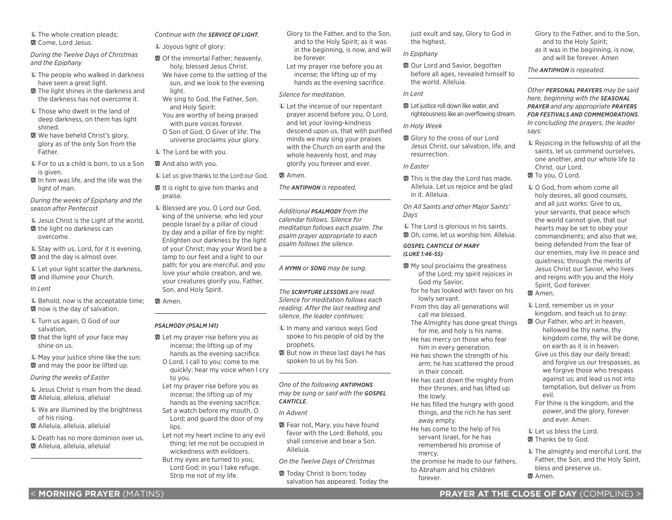L The whole creation pleads: **a** Come, Lord Jesus.

#### *During the Twelve Days of Christmas and the Epiphany*

- L The people who walked in darkness have seen a great light.
- **I** The light shines in the darkness and the darkness has not overcome it.
- L Those who dwelt in the land of deep darkness, on them has light shined.
- **图 We have beheld Christ's glory,** glory as of the only Son from the Father.
- L For to us a child is born, to us a Son is given.
- $\blacksquare$  In him was life, and the life was the light of man.

*During the weeks of Epiphany and the season after Pentecost*

- L Jesus Christ is the Light of the world, **II** the light no darkness can overcome.
- L Stay with us, Lord, for it is evening, **II** and the day is almost over.
- L Let your light scatter the darkness, **a** and illumine your Church.

#### *In Lent*

- L Behold, now is the acceptable time; **II** now is the day of salvation.
- L Turn us again, O God of our salvation,
- **I** that the light of your face may shine on us.
- L May your justice shine like the sun; **II** and may the poor be lifted up.

*During the weeks of Easter*

- L Jesus Christ is risen from the dead.
- **图 Alleluia, alleluia, alleluia!**
- L We are illumined by the brightness of his rising.
- **图 Alleluia, alleluia, alleluia!**
- L Death has no more dominion over us. **图 Alleluia, alleluia, alleluia!** ——————————————————————————

*Continue with the SERVICE OF LIGHT.*

- L Joyous light of glory:
- **图 Of the immortal Father; heavenly,** holy, blessed Jesus Christ.
	- We have come to the setting of the sun, and we look to the evening light.
	- We sing to God, the Father, Son, and Holy Spirit:
- You are worthy of being praised with pure voices forever.
- O Son of God, O Giver of life: The universe proclaims your glory.
- L The Lord be with you.
- **图 And also with you.**
- L Let us give thanks to the Lord our God.
- **If** It is right to give him thanks and praise.
- L Blessed are you, O Lord our God, king of the universe, who led your people Israel by a pillar of cloud by day and a pillar of fire by night: Enlighten our darkness by the light of your Christ; may your Word be a lamp to our feet and a light to our path; for you are merciful, and you love your whole creation, and we, your creatures glorify you, Father, Son, and Holy Spirit.
- **图 Amen.**

#### *PSALMODY (PSALM 141)*

- **II** Let my prayer rise before you as incense; the lifting up of my hands as the evening sacrifice. O Lord, I call to you; come to me
	- quickly: hear my voice when I cry to you.
	- Let my prayer rise before you as incense; the lifting up of my hands as the evening sacrifice.
- Set a watch before my mouth, O Lord; and guard the door of my lips.
- Let not my heart incline to any evil thing; let me not be occupied in wickedness with evildoers. But my eyes are turned to you,
- Lord God; in you I take refuge. Strip me not of my life.
- Glory to the Father, and to the Son, and to the Holy Spirit; as it was in the beginning, is now, and will be forever.
- Let my prayer rise before you as incense; the lifting up of my hands as the evening sacrifice.

#### *Silence for meditation.*

- L Let the incense of our repentant prayer ascend before you, O Lord, and let your loving-kindness descend upon us, that with purified minds we may sing your praises with the Church on earth and the whole heavenly host, and may glorify you forever and ever.
- **M** Amen

*The ANTIPHON is repeated.*

*Additional PSALMODY from the calendar follows. Silence for meditation follows each psalm. The psalm prayer appropriate to each psalm follows the silence.*

——————————————————————————

——————————————————————————

——————————————————————————

#### *A HYMN or SONG may be sung.*

*The SCRIPTURE LESSONS are read. Silence for meditation follows each reading. After the last reading and silence, the leader continues:*

- L In many and various ways God spoke to his people of old by the prophets.
- **a** But now in these last days he has spoken to us by his Son. ——————————————————————————

*One of the following ANTIPHONS may be sung or said with the GOSPEL CANTICLE.*

- *In Advent*
- **II** Fear not, Mary, you have found favor with the Lord: Behold, you shall conceive and bear a Son. Alleluia.
- *On the Twelve Days of Christmas*
- **a** Today Christ is born; today salvation has appeared. Today the

just exult and say, Glory to God in the highest.

#### *In Epiphany*

**图 Our Lord and Savior, begotten** before all ages, revealed himself to the world. Alleluia.

#### *In Lent*

**30** Let justice roll down like water, and righteousness like an overflowing stream.

#### *In Holy Week*

- **图 Glory to the cross of our Lord** Jesus Christ, our salvation, life, and resurrection.
- *In Easter*
- **In** This is the day the Lord has made. Alleluia. Let us rejoice and be glad in it. Alleluia.

*On All Saints and other Major Saints' Days*

L The Lord is glorious in his saints. **图 Oh, come, let us worship him. Alleluia.** 

#### *GOSPEL CANTICLE OF MARY (LUKE 1:46-55)*

- **图** My soul proclaims the greatness of the Lord; my spirit rejoices in God my Savior,
	- for he has looked with favor on his lowly servant.
	- From this day all generations will call me blessed.
- The Almighty has done great things for me, and holy is his name.
- He has mercy on those who fear him in every generation.
- He has shown the strength of his arm; he has scattered the proud in their conceit.
- He has cast down the mighty from their thrones, and has lifted up the lowly.
- He has filled the hungry with good things, and the rich he has sent away empty.
- He has come to the help of his servant Israel, for he has remembered his promise of mercy,
- the promise he made to our fathers, to Abraham and his children forever.

Glory to the Father, and to the Son, and to the Holy Spirit;

as it was in the beginning, is now, and will be forever. Amen

——————————————————————————

*The ANTIPHON is repeated.*

*Other PERSONAL PRAYERS may be said here, beginning with the SEASONAL PRAYER and any appropriate PRAYERS FOR FESTIVALS AND COMMEMORATIONS. In concluding the prayers, the leader says:*

- L Rejoicing in the fellowship of all the saints, let us commend ourselves, one another, and our whole life to Christ, our Lord.
- **a** To you, O Lord.
- L O God, from whom come all holy desires, all good counsels, and all just works: Give to us, your servants, that peace which the world cannot give, that our hearts may be set to obey your commandments; and also that we, being defended from the fear of our enemies, may live in peace and quietness; through the merits of Jesus Christ our Savior, who lives and reigns with you and the Holy Spirit, God forever.
- 图 Amen.
- L Lord, remember us in your kingdom, and teach us to pray:
- **图 Our Father, who art in heaven,** hallowed be thy name, thy kingdom come, thy will be done, on earth as it is in heaven.
- Give us this day our daily bread; and forgive us our trespasses, as we forgive those who trespass against us; and lead us not into temptation, but deliver us from evil.
- For thine is the kingdom, and the power, and the glory, forever and ever. Amen.
- L Let us bless the Lord.
- **a** Thanks be to God.
- L The almighty and merciful Lord, the Father, the Son, and the Holy Spirit, bless and preserve us. 图 Amen.

——————————————————————————